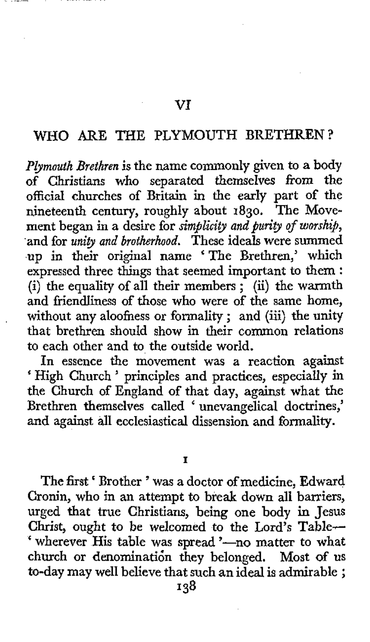## WHO ARE THE PLYMOUTH BRETHREN?

**VI** 

*Plymouth Brethren* is the name commonly given to a body of Christians who separated themselves *from* the official churches of Britain in the early part of the nineteenth century, roughly about **1830.** The Movement began in a desire for *simplicity and purity of worship,*  and for *unity and brotherhood*. These ideals were summed up in their original name 'The Brethren,' which expressed three things that seemed important to them : expressed three things that seemed important to them :<br>(i) the equality of all their members ; (ii) the warmth and friendliness **of** those who were **of** the same home, without any aloofness or formality ; and (iii) the unity that brethren should show in their common relations to each other and to the outside world.

In essence the movement was a reaction against 'High Church ' principles and practices, especially in the Church of England of that day, against what the Brethren themselves called < unevangelical doctrines,' and against all ecclesiastical dissension and formality.

**I** 

The first < Brother ' was a doctor of medicine, Edward Cronin, who in an attempt to break **down** all barriers, urged that true Christians, being one body in Jesus Christ, **ought** to be welcomed to the Lord's Table- ' wherever His table was spread '-no matter to what church or denomination they belonged. Most of us to-day may well believe that such an ideal is admirable ;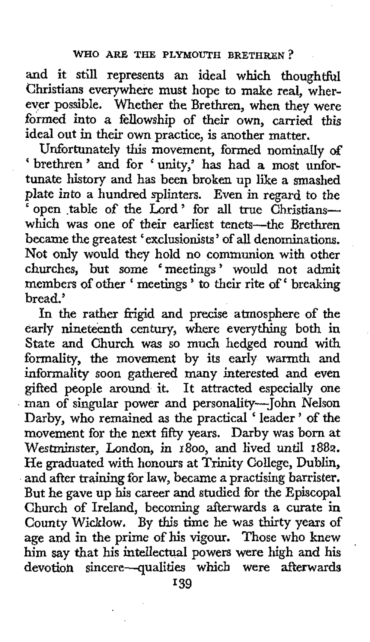and it still represents an ideal which thoughtful Christians everywhere must hope to make real, wherever possible. Whether the Brethren, when they were formed into a fellowship of their own, carried this ideal out in their own practice, is another matter.

Unfortunately this movement, formed nominally *of*  ' brethren' and for 'unity,' has had a most unfortunate history and has been broken up like a smashed plate into a hundred splinters. Even **in** regard to the open table of the Lord' for all true Christianswhich was one of their earliest tenets-the Brethren became the greatest ' exclusionists ' of all denominations. Not only would they hold no communion with other churches, but some 'meetings' would not admit members of other ' meetings' to their rite of ' breaking bread.'

In the rather frigid and precise atmosphere **of** the early nineteenth century, where everything both in State **and** Church was so much hedged round with formality, the movement by its early warmth and informality soon gathered many interested and even gifted people around it. It attracted especially one man of singular power and personality-John NeIson Darby, who remained as the practical 'leader' of the movement for the next fifty years. Darby was born at Westminster, London, in **1800,** and lived until **1882.**  He graduated with honours at **Trinity** College, Dublin, and after training for law, became a practising barrister. But he gave up his career and studied for the Episcopal Church **of** Ireland, becoming afterwards a curate in County Wicklow. By this time he **was** thirty years of age and in the prime **of** his vigour. Those who knew him say that his intellectual powers were high and his devotioh sincere-qualities which were afterwards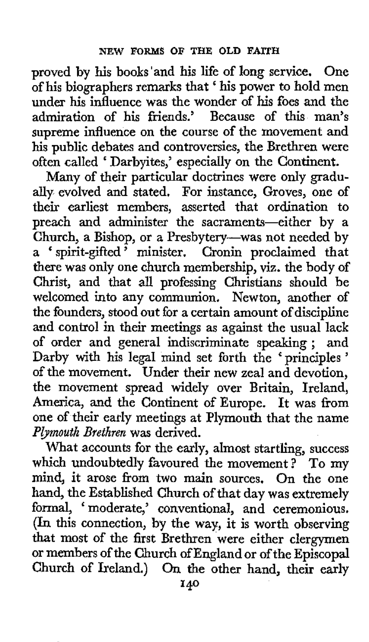proved by **his** books'and his life of long service. One of his biographers remarks that ' his power to hold men under his influence was the wonder of his foes and the admiration of his friends.' Because of this man's supreme influence on the course of the movement and his public debates and controversies, the Brethren were often called ' Darbyites,' especially on the Continent.

Many of their particular doctrines were only gradually evolved and stated. For instance, Groves, one of their earliest members, asserted that ordination to preach and administer the sacraments-either by a Church, a Bishop, or a Presbytery-was not needed by Church, a Bishop, or a Presbytery—was not needed by<br>a 'spirit-gifted' minister. Cronin proclaimed that there was only one church membership, viz. the body **of**  Christ, and that all professing Christians should be welcomed into any communion. Newton, another of the founders, stood out for a certain amount of discipline and control in their meetings as against the usual lack of order and general indiscriminate speaking ; and Darby with his legal mind set forth the 'principles ' of the movement. Under their new zeal and devotion, the movement spread widely over Britain, Ireland, America, and the Continent of Europe. It **was** from one of their early meetings at Plymouth that the name *Pbmouth Brethren* was derived.

What accounts for the early, almost startling, success which undoubtedly favoured the movement? To my mind, it arose from **two** main sources. On the one hand, the Established Church of that day was extremely hand, the Established Church of that day was extremely<br>formal, 'moderate,' conventional, and ceremonious. (In this connection, by the way, it is worth observing that most of the first Brethren were either clergymen or members of the Church of England or of the Episcopal Church of Ireland.) On the other hand, their early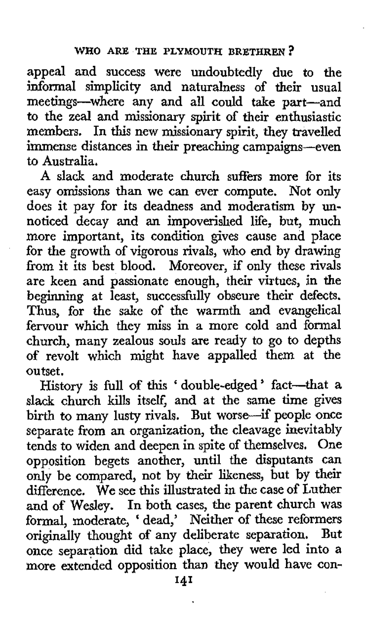appeal and success were undoubtedly due to the informal simplicity and naturalness of their usual meetings-where any and all could take part-and to the zeal and missionary spirit of their enthusiastic members. In this new missionary spirit, they travelled immense distances in their preaching campaigns-even to Australia.

A slack and moderate church suffers more for its easy omissions than we can ever compute. Not only does it pay for its deadness and moderatism by unnoticed decay and an impoverished life, but, much more important, its condition gives cause and place for the growth of vigorous rivals, **who** end by drawing from it its best blood. Moreover, if only these rivals are keen and passionate enough, their virtues, in the beginning at least, successfully obscure their defects. Thus, for the sake of the warmth and evangelical fervour which they **miss** in a more cold and formal church, many zealous souls are ready to go to depths **of** revolt which might have appalled them at the outset.

History is full of this ' double-edged ' fact-that **<sup>a</sup>** slack church kills itself, and at the same time gives birth to many lusty rivals. But worse-if people once separate from an organization, the cleavage inevitably tends to widen and deepen in spite of themselves. One opposition begets another, until the disputants can only be compared, not by their likeness, but by their difference. We see this illustrated in the case **of** Luther and of Wesley. In both cases, the parent church was formal, moderate, ' dead,' Neither of these reformers originally thought of any deliberate separation. But once separation did take place, they were led into a more extended opposition than they would have con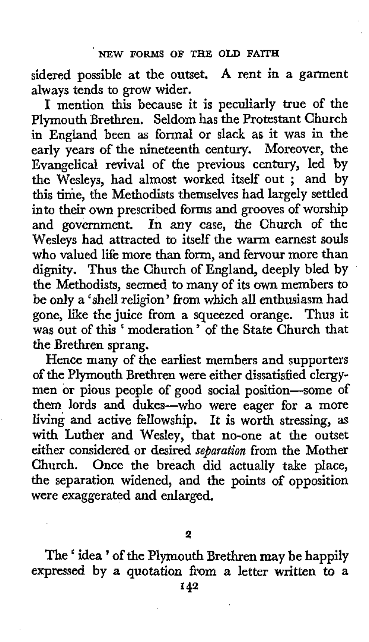sidered possible at the outset. **A** rent in a garment always tends to **grow** wider.

**I** mention this because it is peculiarly true of the Plymouth Brethren. Seldom has the Protestant Church in England been as formal or slack as it was in the early years **of** the nineteenth century. Moreover, the Evangelical revival of the previous century, led by the Wesleys, had almost worked itself out ; and by this time, the Methodists themselves had largely settled into their **own** prescribed forms and grooves of worship and government. In any case, the Church of the Wesleys had attracted to itself the warm earnest souls **who** valued life more than form, and fervour more than dignity. Thus the Church of England, deeply bled by the Methodists, seemed to many of its own members to be **only** a 'shell religion' from which all enthusiasm had gone, **like** the juice from a squeezed orange. Thus it was out of this 'moderation' of the State Church that the Brethren sprang.

Hence many of the earliest members and supporters *of* the Plymouth Brethren were either dissatisfied clergymen or pious people of good social position-some of them lords **and** dukes-who were eager for **a** more living and active fellowship. It is worth stressing, as with Luther and Wesley, that no-one at the outset either considered or desired *separation* from the Mother Church. Once the breach did actually take place, the separation widened, and the points **of** opposition were exaggerated and enlarged.

**The** idea ' **of** the Plymouth Brethren **my** be happily expressed by a quotation from a letter written to a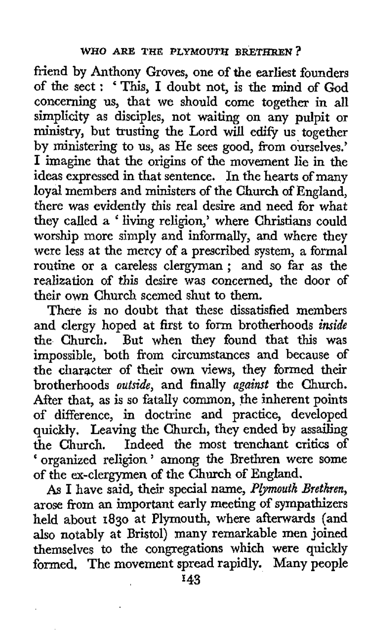friend by Anthony Groves, one of the earliest founders of the sect : ' This, I doubt not, is the mind of God concerning us, that we should come together in all simplicity as disciples, not waiting on any pulpit or ministry, but trusting the Lord will edify us together by ministering to us, as He sees good, from ourselves.' I imagine that the origins of the movement lie in the ideas expressed in that sentence. In the hearts of many loyal members and ministers of the Church of England, there was evidently this real desire and need for what they called a 'living religion,' where Christians could worship more simply and informally, and where they were less at the mercy of a prescribed system, *a* formal routine or a careless clergyman ; and so far as the realization of this desire was concerned, the door of their own Church seemed shut to them.

There is no doubt that these dissatisfied members and clergy hoped at first to form brotherhoods *inside*  the Church. But when they found that this was impossible, both from circumstances and because of the character of their **own** views, they formed their brotherhoods *outside,* and finally *against* the Church. After that, as is so fatally common, the inherent points of difference, in doctrine and practice, developed quickly, Leaving the Church, they ended by assailing the Church. Indeed the most trenchant critics of organized religion ' among the Brethren were some of the ex-clergymen of the Church of England.

**As** I have said, their special name, *Plymouth Brethren,*  arose from an important early meeting of sympathizers held about **1830** at Plymouth, where afterwards (and **also** notably at Bristol) many remarkable **mn** joined themselves to the congregations which were quickly formed, The movement spread rapidly. Many people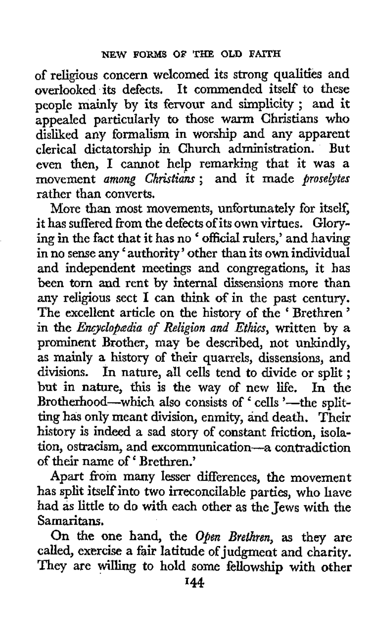of religious concern welcomed its strong qualities and overlooked its defects. It commended itself' to these people mainly by its fervour and simplicity ; and it appealed particularly to those **warm** Christians who disliked any formalism in worship and any apparent clerical dictatorship in Church administration. But even then, I cannot help remarking that it was a movement *among Chktiam;* and it made *prose@tes*  rather than converts.

More than most movements, unfortunately for itself, it has suffered from the defects of its own virtues. Glorying in the fact that it has no ' official rulers,' and having in no sense any ' authority ' other than its **own** individual and independent meetings and congregations, it has been torn and rent by internal dissensions more than any religious sect I can think **of** in the past century. The excellent article on the history of the 'Brethren' in the *Encyclopredia of Religion and Ethics,* written by a prominent Brother, may be described, not unkindly, as mainly a history of their quarrels, dissensions, and divisions. In nature, all cells tend to divide or split ; but in nature, this is the way of new life. In the Brotherhood-which also consists of ' cells '-the splitting has only meant division, enmity, and death. Their history is indeed a sad story of constant friction, isolation, ostracism, and excommunication-a contradiction of their name **of'** Brethren.'

Apart from many lesser differences, the movement has split itself into two irreconcilable parties, who have had **as** little to **do with** each other **as** the Jews with the Samaritans.

On the one hand, the *Oken Brethren,* as they are called, exercise a fair latitude of judgment and charity. They are willing to hold some fellowship with other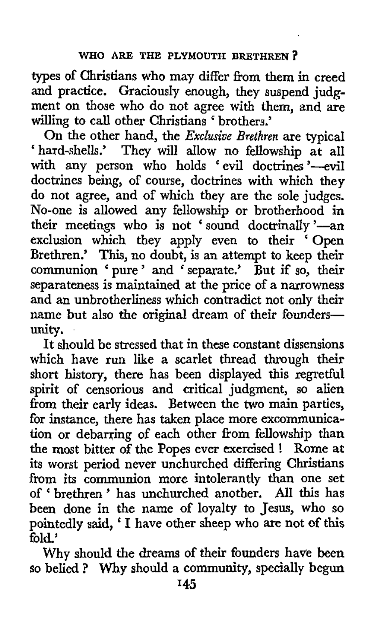types of Christians who may differ from them in creed and practice. Graciously enough, they suspend judgment on those who do not agree with them, and are willing to call other Christians ' brothers.'

On the other hand, **the** *Exclusive Brethren* are typical On the other hand, the *Exclusive Brethren* are typical hard-shells.' They will allow no fellowship at all with any person who holds 'evil doctrines'-evil doctrines being, of course, doctrines with which they do not agree, and of which they are the sole judges. No-one is allowed any fellowship or brotherhood in their meetings who is not 'sound doctrinally '-an exclusion which they apply even to their 'Open Brethren.' This, no doubt, is an attempt to keep their communion ' pure ' and ' separate.' But if so, their separateness is maintained at the price of a narrowness and an unbrotherliness which contradict not only their name but also the original dream of their founders-Unity.

It should be stressed that in these constant dissensions which have run like *a* scarlet thread through their short history, there has been displayed this regretful spirit of censorious and critical judgment, so alien from their early ideas. Between **the** two main parties, for instance, there has taken place more excommunication or debarring **of** each other from fellowship than the most bitter of the Popes ever exercised ! its worst period never unchurched differing Christians from its communion more intolerantly than one set of ' brethren ' has unchurched another. All this has been done in the name of loyalty to Jesus, who so pointedly said, ' I have other sheep who are not of **this**  fold.'

Why should the dreams of their founders have been so belied ? **Why** should a community, specially begun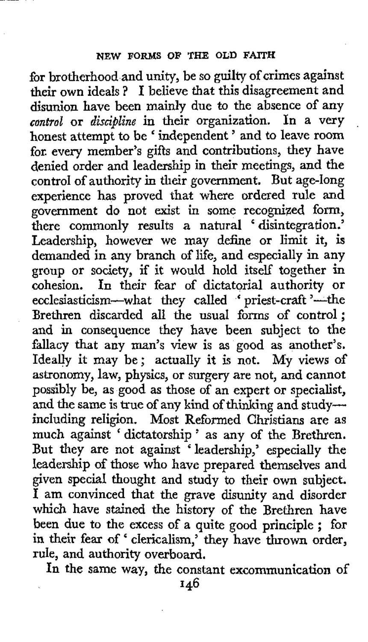for brotherhood and unity, be so guilty **of** crimes against their own ideals ? I believe that this disagreement and disunion have been mainly due to the absence of any *control* or *discipline* in their organization. In a very honest attempt to be ' independent ' and to leave room for. every member's gifts and contributions, they have denied order and leadership in their meetings, and the control of authority in their government. But age-long experience has proved that where ordered rule and government do not exist in some recognized form, government do not exist in some recognized torm,<br>there commonly results a natural 'disintegration.' Leadership, however we may define or limit it, is demanded in any branch **of** life, and especially in any group or society, if it would hold itself together in cohesion. In their fear of dictatorial authority or conesion. In their tear of dictatorial authority or<br>ecclesiasticism—what they called ' priest-craft '—the Brethren discarded all the usual forms of control; and in consequence they have been subject to the fallacy that any man's view is **as** good as another's. Ideally it may be; actually it is not. My views of astronomy, law, physics, or surgery are not, and cannot possibly be, as good as those of an expert or specialist, and the same is true of any kind of thinking and studyincluding religion. Most Reformed Christians are as much against ' dictatorship ' as any of the Brethren. But they are not against ' leadership,' especially the leadership of those **who** have prepared themselves and given special thought and study to their own subject. I am convinced that the grave disunity and disorder which have stained the history of the Brethren have which have stained the history of the Brethren have been due to the excess of a quite good principle; for been due to the excess of a quite good principle; for<br>in their fear of ' clericalism,' they have thrown order, rule, and authority overboard.

In the same way, the constant excommunication of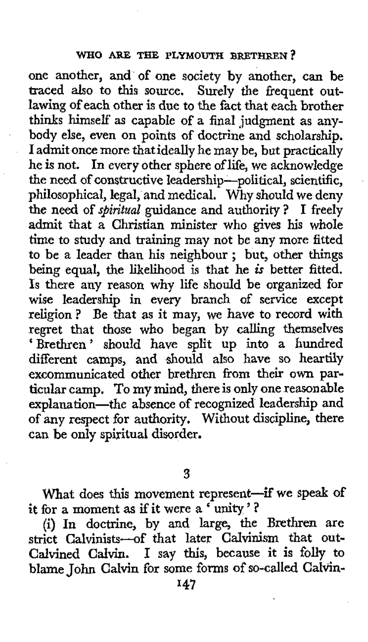## **WHO ARE THE PLYMOUTH BRETHREN?**

.

one another, and of one society by another, can be traced also to this source. Surely the frequent outlawing **of** each other is due to the fact that each brother thinks himself as capable of a final judgment as anybody else, even on points of doctrine and scholarship. I admit once more that ideally he may be, but practically he is not. In every other sphere of life, we acknowledge the need of constructive leadership-political, scientific, philosophical, legal, and medical. Why should we deny *the* need of *spiritual* guidance and authority? I freely admit that a Christian minister who gives his whole time to study and training may not be any more fitted to be a leader than his neighbour ; but, other things being equal, the likelihood is that he is better fitted. **Is** there any reason why life should be organized **for**  wise leadership in every branch of service except religion? Be that **as** it may, we have to record with regret that those **who** began by calling themselves 'Brethren' should have split up into a hundred different camps, and should also have so heartily excommunicated other brethren from their **own** particular camp. To my mind, there is **only** one reasonable explana tion-the absence of recognized leadership and **of** any respect for authority. Without discipline, there can **be** only spiritual disorder.

**3** 

What does this movement represent-if we speak of it for a moment **as** if it were a ' **unity** ' ?

**(i)** In doctrine, by and large, the Brethren are strict Calvinists-of that later Calvinism that **out-**Calvined **Calvin.** I say *this,* because it is folly to blame John Calvin for some forms of so-called CalVin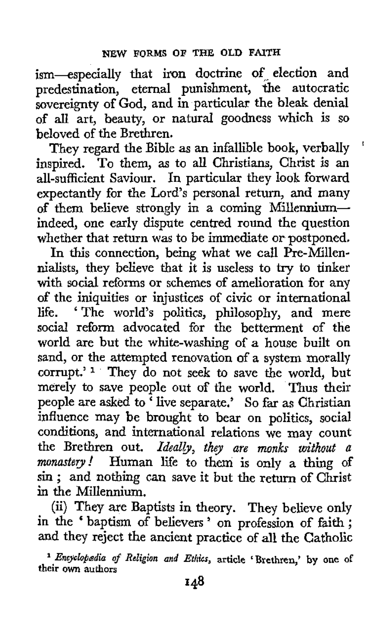ism-especially that iron doctrine of. election and predestination, eternal punishment, the autocratic sovereignty of God, and in particular the bleak denial of all art, beauty, or natural goodness which is so beloved of the Brethren.

They regard the Bible as an infallible book, verbally inspired. To them, as to all Christians, Christ is an all-sufficient Saviour. In particular they look forward expectantly for the Lord's personal return, and many of them believe strongly in a coming Millenniumindeed, one early dispute centred round the question whether that return was to be immediate or postponed.

'

In this connection, being what we call  $\hat{Pr}$ -Millennialists, they believe that it is useless to try to tinker with social reforms or schemes of amelioration for any of the iniquities or injustices of civic or international<br>life. 'The world's politics, philosophy, and mere ' The world's politics, philosophy, and mere social reform advocated for the betterment of the world are but the white-washing of a house built on sand, or the attempted renovation of a system morally corrupt.'<sup>1</sup> They do not seek to save the world, but merely to save people out of the world. Thus their people are asked to 'live separate.' So far as Christian influence may be brought to bear on politics, social conditions, and international relations we may count the Brethren out. *Ideally, they are monks without a monastery!* Human life to them is only **a** thing **of**  sin ; and nothing can save it but the return of Christ in the Millennium.

(ii) They are Baptists in theory. They believe only in the ' baptism *of* believers ' on profession of faith ; and they reject the ancient practice of all the Catholic

<sup>1</sup> Encyclopadia of Religion and Ethics, article 'Brethren,' by one of **their own authors**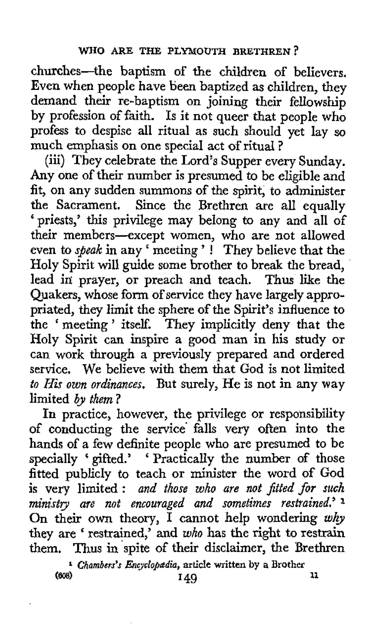churches-the baptism of the children of believers, Even when people have been baptized as children, they demand their re-baptism on joining their fellowship by profession of faith. Is it not queer that people who profess to despise all ritual as such should yet lay *so*  much emphasis on one special act of ritual ?

(iii) They celebrate the Lord's Supper every Sunday. **Any** one **of** their number is presumed to be eligible and fit, on any sudden summons of the spirit, to administer the Sacrament. Since the Brethren are all equally ' priests,' this privilege may belong to any and all **of**  their members-except women, who are not allowed their members—except women, who are not allowed<br>even to *speak* in any 'meeting'! They believe that the Holy Spirit will guide some brother to break the bread, lead in prayer, or preach and teach. Thus like the Quakers, whose form of service they have largely appropriated, they limit the sphere of the Spirit's influence to the ' meeting' itself. They implicitly deny that the Holy Spirit can inspire a good man in his study or can work through a previously prepared and ordered service. We believe with them that God is not limited *to His own ordinances.* But surely, He is not in any way limited by them?

In practice, however, the privilege or responsibility of conducting the service falls very often into the hands of a few definite people who are presumed to be specially ' gifted.' ' Practically the number of those fitted publicly to teach or minister the word of God is very limited : *and those who are not fitted for such ministty are not encouraged and sometimes restrained.'* **1**  On their own theory, I cannot help wondering why they are 'restrained,' and *who* has the right to restrain them. Thus in spite of their disclaimer, the Brethren

**<sup>1</sup>Chambsrs's** *Eneyclopdia,* **article written by a** Brother **149 149 11**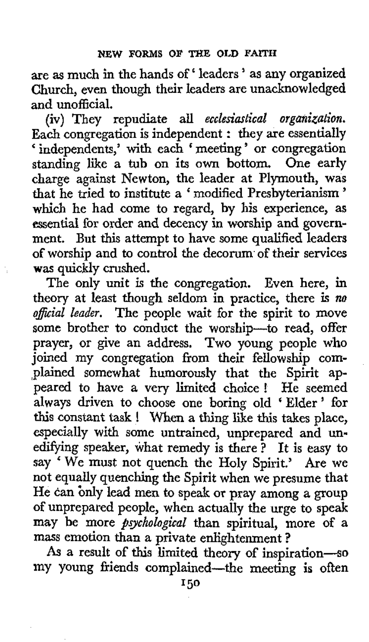are **as** much in the hands of' leaders ' *as* any organized Church, even though their leaders are unacknowledged and unofficial.

(iv) They repudiate all *ecclesiastical organization*. Each congregation is independent : they are essentially ' independents,' with each ' meeting ' or congregation standing like a tub on its own bottom. One early charge against Newton, the leader at Plymouth, was that he tried to institute *a* ' modified Presbyterianism ' which he had come to regard, by his experience, as essential for order and decency in worship and government. But this attempt to have some qualified leaders of worship and to control the decorum of their services **was** quickly crushed.

The only unit is the congregation. Even here, in theory at least though seldom in practice, there **Is** *no*  official leader. The people wait for the spirit to move some brother to conduct the worship-to read, offer prayer, or give an address. Two young people who joined my congregation from their fellowship complained somewhat humorously that the Spirit appeared to have a very limited choice! He seemed always driven to choose one boring old ' Elder ' for this constant task ! When **a** thing like *this* takes place, especially with some untrained, unprepared and unedifying speaker, what remedy is there ? It is easy to say ' We must not quench the Holy Spirit.' Are we not equally quenching the Spirit when we presume that He can bnly lead men to speak or pray among a **group of** unprepared people, when actually the urge to speak may be more *psychological* than spiritual, more of a mass emotion than a private enlightenment ?

As a result of this limited theory of inspiration-s my young friends complained-the meeting is often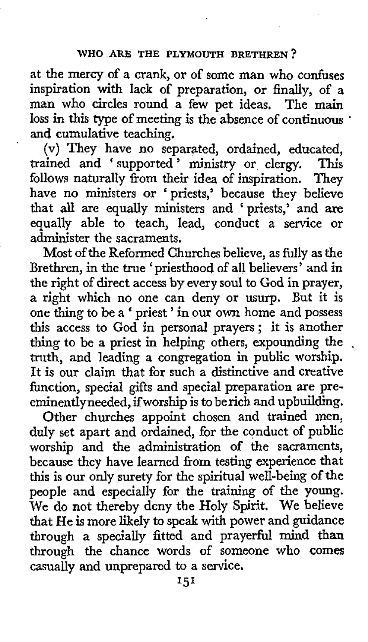at the mercy of a crank, or of some man who confuses inspiration with lack of preparation, or finally, **of** a man who circles round a few pet ideas. The main loss in this type of meeting is the absence of continuous . and cumulative teaching.

(v) They have no separated, ordained, educated, ained and 'supported' ministry or cleroy. This trained and 'supported' ministry or clergy. This follows naturally from their idea of inspiration. They have no ministers or 'priests,' because they believe that **all** are equally ministers and 'priests,' and **are**  equally able to teach, lead, conduct a service or administer the sacraments.

Most of the Reformed Churches believe, as fully as the Brethren, in the true 'priesthood of all believers' and in the right of direct access by every soul to God in prayer, a right which no one can deny or usurp. But it is one thing to be a ' priest ' in our own home and possess this access to God in personal prayers ; it is another thing to be a priest in helping others, expounding the truth, and leading a congregation in public worship. It is our claim that for such a distinctive and creative function, special gifts and special preparation are preeminentlyneeded, if worship is to berich and upbuilding.

Other churches appoint chosen and trained men, duly set apart and ordained, for the conduct of public worship and the administration of the sacraments, because they have learned from testing experience that this is our only surety for the spiritual well-being of the people and especially for the training of the young. We do not thereby deny the Holy Spirit. We believe that He is more likely to speak with power and guidance through a specially fitted and prayerful mind than through the chance words of someone **who comes**  casually and unprepared to a service.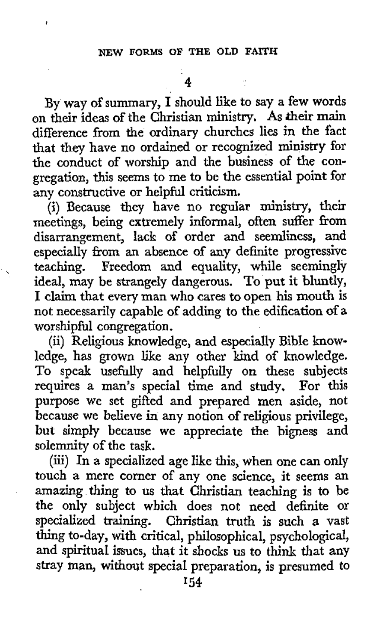By way of summary, I should like to say a few words on their ideas of the Christian ministry. **As** their main difference from the ordinary churches lies in the fact that they have no ordained or recognized ministry for the conduct of worship and the business of the **con**gregation, this seems to me to be the essential point for any constructive or helpful criticism.

(i) Because they have no regular ministry, their meetings, being extremely informal, often suffer from disarrangement, lack of order and seemliness, and especially fkom an absence **of** any definite progressive teaching. Freedom and equality, while seemingly ideal, may be strangely dangerous, To put it bluntly, I claim that every man who cares to open his mouth is not necessarily capable **of** adding to the edification of **a**  worshipful congregation.

(ii) Religious knowledge, and especially Bible knowledge, has grown like any other kind of knowledge. To speak usefully and helpfully on these subjects requires a man's special time and study. For this purpose we set gifted and prepared men aside, not because we believe in any notion of religious privilege, but simply because we appreciate the bigness and solemnity **of** the task.

(iii) In a specialized age like this, when one can only touch a mere corner of any one science, it seems an amazing thing to **us** that Christian teaching is to be the only subject which does not need definite or specialized training. Christian **truth** is such a vast thing to-day, with critical, philosophical, psychological, and spiritual issues, that it shocks **us** to think that any stray **man,** Without special preparation, **is** presumed to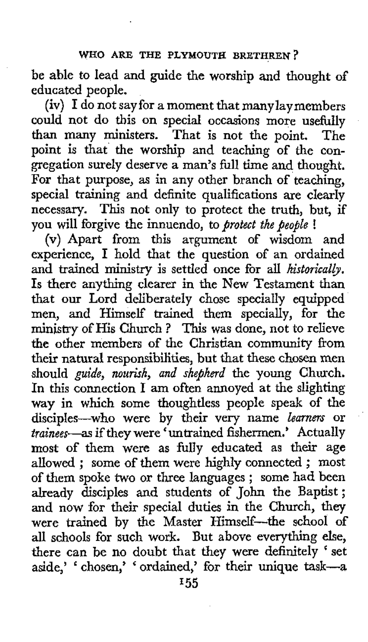be able to lead and guide the worship and thought of educated people.

(iv) I do not say for a moment that manylaymembers could not do this on special occasions more usefully than many ministers. That **is** not the point. The point is that the worship and teaching of the con gregation surely deserve a man's full time and thought. For that purpose, as in any other branch of teaching, special training and definite qualifications are clearly necessary. This not only to protect the truth, but, if you will forgive the innuendo, to *protect the people* !

**(v)** Apart from this argument of wisdom and experience, I hold that the question of an ordained and trained ministry is settled once for all *historically*. Is there anything clearer in the New Testament than that our Lord deliberately chose specially equipped men, and Himself trained them specially, for the ministry of His Church ? This was done, not to relieve the other members of the Christian community from their natural responsibilities, but that these chosen men should *guide, nourish, and shepherd* the young Church. In this connection I am often annoyed at the slighting way in which some thoughtless people speak of the disciples-who were by their very name *learners* or *trainees*—as if they were 'untrained fishermen.' Actually most **of** them were as fully educated as their age allowed ; some of them were highly connected ; most of them spoke two or three languages ; some had been already disciples and students of John the Baptist; and now for their special duties in the Church, they were trained by the Master Himself-the school of all schools for such work. But above everything else, there can be no doubt that they were definitely 'set aside,' chosen,' ' ordained,' for their unique **task-a**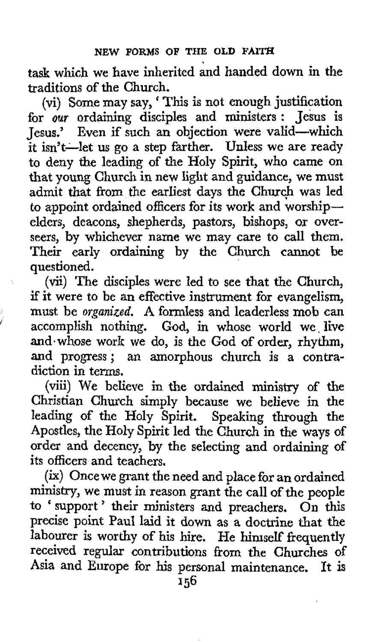task which we have inherited and handed down in the traditions of the Church.

(vi) Some may say, ' This is not enough justification for *our* ordaining disciples and ministers : Jesus is Jesus.' Even if such an objection were valid-which it isn't-let us go a step farther. Unless we are ready to deny the leading of the Holy Spirit, who came on that young Church in new light and guidance, we must admit that from the earliest days **the** Church was led to appoint ordained officers for its work and worshipelders, deacons, shepherds, pastors, bishops, or overseers, by whichever name we may care to call them. Their early ordaining by the Church cannot be questioned.

(vii) The disciples were led to see that the Church, if it were to be an effective instrument for evangelism,<br>must be *organized*. A formless and leaderless mob can accomplish nothing. God, in whose world we live and.whose work we do, is the God of order, rhythm, and progress; an amorphous church is **a** contradiction in terms.

(viii) We believe in the ordained ministry of the Christian Church simply because we believe in the leading of the Holy Spirit. Speaking through the Apostles, the Holy Spirit led the Church in the ways of order and decency, **by** the selecting and ordaining of its officers and teachers.

(ix) Once we grant the need and place for an ordained ministry, we must in reason grant the call of the people to ' support ' their ministers and preachers. On this precise point Paul laid it down as a doctrine that the labourer is worthy of his hire. He himself frequently received regular contributions from the Churches **of**  Asia and Europe for his personal maintenance. It is

**156**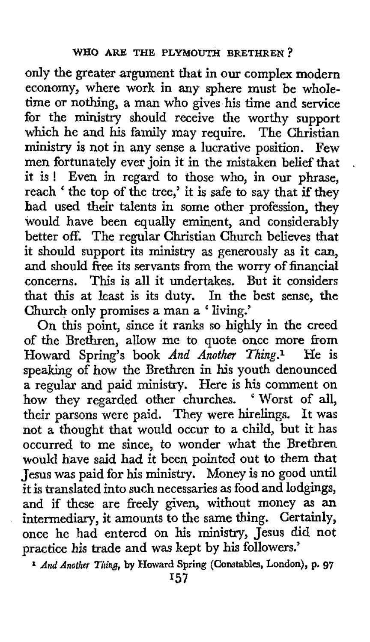only the greater argument that in **our** complex modern economy, where work in any sphere must be wholetime or nothing, a man who gives his time and service for the ministry should receive the worthy support which he and his family may require. The Christian ministry is not in any sense a lucrative position. Few men fortunately ever join it in the mistaken belief that . it is ! Even in regard to those who, in our phrase, reach ' the top of the tree,' it is safe to say that if they had used their talents in some other profession, they would have been equally eminent, and considerably better off. The regular Christian Church believes that it should support its ministry as generously as it can, and should fiee its servants from the worry of financial concerns. This is all it undertakes. But it considers that this at least is its duty. In the best sense, the Church only promises a man a ' living.'

On this point, since it ranks so highly in the creed of the Brethren, allow me to quote once more from<br>Howard Spring's book And Another Thing.<sup>1</sup> He is Howard Spring's book *And Another Thing.*<sup>1</sup> speaking of how the Brethren in his youth denounced a regular and paid ministry. Here is his comment on how they regarded other churches. 'Worst of all, their parsons were paid. They were hirelings. It was not a thought that would occur to a child, but it has occurred to me since, to wonder what the Brethren would have said had it been pointed out to them that Jesus was paid for his ministry. Money is no good until it is translated into such necessaries as food and lodgings, and if these are freely given, without money as an intermediary, it amounts to the same thing. Certainly, once he had entered on his ministry, Jesus did not practice his trade and was kept by his followers.'

<sup>1</sup> *And Another Thing, by Howard Spring (Constables, London), p. 97*